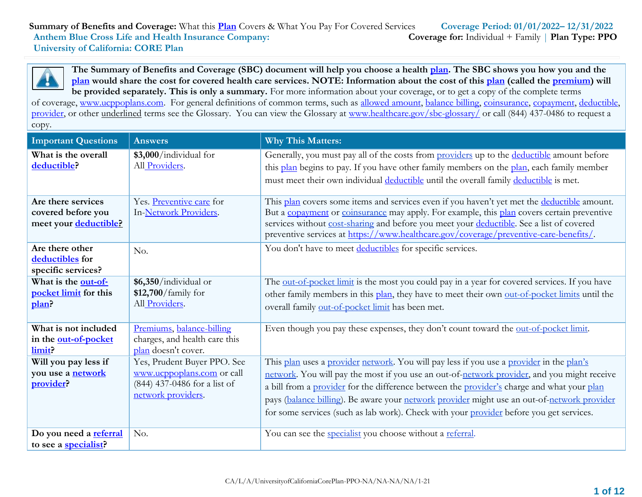**The Summary of Benefits and Coverage (SBC) document will help you choose a health [plan.](https://www.healthcare.gov/sbc-glossary/) The SBC shows you how you and the [plan](https://www.healthcare.gov/sbc-glossary/) would share the cost for covered health care services. NOTE: Information about the cost of this [plan](https://www.healthcare.gov/sbc-glossary/) (called the [premium\)](https://www.healthcare.gov/sbc-glossary/) will be provided separately. This is only a summary.** For more information about your coverage, or to get a copy of the complete terms

of coverage, [www.ucppoplans.com.](http://www.ucppoplans.com/) For general definitions of common terms, such as [allowed amount, balance billing, coinsurance, copayment, deductible,](https://www.healthcare.gov/sbc-glossary/) [provider,](https://www.healthcare.gov/sbc-glossary/) or other underlined terms see the Glossary. You can view the Glossary at [www.healthcare.gov/sbc-glossary/](http://www.healthcare.gov/sbc-glossary/) or call (844) 437-0486 to request a copy.

| <b>Important Questions</b>                                        | <b>Answers</b>                                                                                                  | <b>Why This Matters:</b>                                                                                                                                                                                                                                                                                                                                                                                                                                                        |
|-------------------------------------------------------------------|-----------------------------------------------------------------------------------------------------------------|---------------------------------------------------------------------------------------------------------------------------------------------------------------------------------------------------------------------------------------------------------------------------------------------------------------------------------------------------------------------------------------------------------------------------------------------------------------------------------|
| What is the overall<br>deductible?                                | \$3,000/individual for<br>All Providers.                                                                        | Generally, you must pay all of the costs from providers up to the deductible amount before<br>this plan begins to pay. If you have other family members on the plan, each family member<br>must meet their own individual deductible until the overall family deductible is met.                                                                                                                                                                                                |
| Are there services<br>covered before you<br>meet your deductible? | Yes. Preventive care for<br>In-Network Providers.                                                               | This plan covers some items and services even if you haven't yet met the deductible amount.<br>But a copayment or coinsurance may apply. For example, this plan covers certain preventive<br>services without cost-sharing and before you meet your deductible. See a list of covered<br>preventive services at https://www.healthcare.gov/coverage/preventive-care-benefits/.                                                                                                  |
| Are there other<br>deductibles for<br>specific services?          | No.                                                                                                             | You don't have to meet deductibles for specific services.                                                                                                                                                                                                                                                                                                                                                                                                                       |
| What is the out-of-<br>pocket limit for this<br>plan?             | \$6,350/individual or<br>\$12,700/family for<br>All Providers.                                                  | The out-of-pocket limit is the most you could pay in a year for covered services. If you have<br>other family members in this plan, they have to meet their own out-of-pocket limits until the<br>overall family out-of-pocket limit has been met.                                                                                                                                                                                                                              |
| What is not included<br>in the out-of-pocket<br>limit?            | Premiums, balance-billing<br>charges, and health care this<br>plan doesn't cover.                               | Even though you pay these expenses, they don't count toward the out-of-pocket limit.                                                                                                                                                                                                                                                                                                                                                                                            |
| Will you pay less if<br>you use a <b>network</b><br>provider?     | Yes, Prudent Buyer PPO. See<br>www.ucppoplans.com or call<br>(844) 437-0486 for a list of<br>network providers. | This plan uses a provider network. You will pay less if you use a provider in the plan's<br>network. You will pay the most if you use an out-of-network provider, and you might receive<br>a bill from a provider for the difference between the provider's charge and what your plan<br>pays (balance billing). Be aware your network provider might use an out-of-network provider<br>for some services (such as lab work). Check with your provider before you get services. |
| Do you need a referral<br>to see a specialist?                    | No.                                                                                                             | You can see the <i>specialist</i> you choose without a referral.                                                                                                                                                                                                                                                                                                                                                                                                                |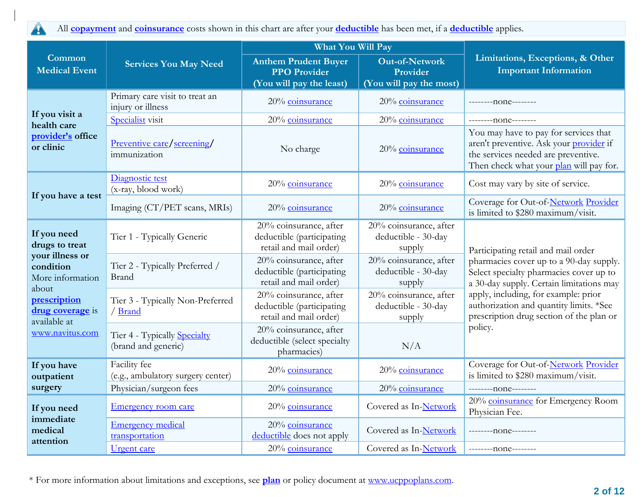All **[copayment](https://www.healthcare.gov/sbc-glossary/)** and **[coinsurance](https://www.healthcare.gov/sbc-glossary/)** costs shown in this chart are after your **[deductible](https://www.healthcare.gov/sbc-glossary/)** has been met, if a **[deductible](https://www.healthcare.gov/sbc-glossary/)** applies.

4

|                                                                                                                                                                   |                                                     | What You Will Pay                                                              |                                                              |                                                                                                                                                                    |  |
|-------------------------------------------------------------------------------------------------------------------------------------------------------------------|-----------------------------------------------------|--------------------------------------------------------------------------------|--------------------------------------------------------------|--------------------------------------------------------------------------------------------------------------------------------------------------------------------|--|
| Common<br><b>Medical Event</b>                                                                                                                                    | <b>Services You May Need</b>                        | <b>Anthem Prudent Buyer</b><br><b>PPO Provider</b><br>(You will pay the least) | <b>Out-of-Network</b><br>Provider<br>(You will pay the most) | Limitations, Exceptions, & Other<br><b>Important Information</b>                                                                                                   |  |
|                                                                                                                                                                   | Primary care visit to treat an<br>injury or illness | 20% coinsurance                                                                | 20% coinsurance                                              | --------none--------                                                                                                                                               |  |
| If you visit a<br>health care                                                                                                                                     | Specialist visit                                    | 20% coinsurance                                                                | 20% coinsurance                                              | $-----none---$                                                                                                                                                     |  |
| provider's office<br>or clinic                                                                                                                                    | Preventive care/screening/<br>immunization          | No charge                                                                      | 20% coinsurance                                              | You may have to pay for services that<br>aren't preventive. Ask your provider if<br>the services needed are preventive.<br>Then check what your plan will pay for. |  |
|                                                                                                                                                                   | Diagnostic test<br>(x-ray, blood work)              | 20% coinsurance                                                                | 20% coinsurance                                              | Cost may vary by site of service.                                                                                                                                  |  |
| If you have a test                                                                                                                                                | Imaging (CT/PET scans, MRIs)                        | 20% coinsurance                                                                | 20% coinsurance                                              | Coverage for Out-of-Network Provider<br>is limited to \$280 maximum/visit.                                                                                         |  |
| If you need<br>drugs to treat<br>your illness or<br>condition<br>More information<br>about<br>prescription<br>drug coverage is<br>available at<br>www.navitus.com | Tier 1 - Typically Generic                          | 20% coinsurance, after<br>deductible (participating<br>retail and mail order)  | $20%$ coinsurance, after<br>deductible - 30-day<br>supply    | Participating retail and mail order                                                                                                                                |  |
|                                                                                                                                                                   | Tier 2 - Typically Preferred /<br>Brand             | 20% coinsurance, after<br>deductible (participating<br>retail and mail order)  | 20% coinsurance, after<br>deductible - 30-day<br>supply      | pharmacies cover up to a 90-day supply.<br>Select specialty pharmacies cover up to<br>a 30-day supply. Certain limitations may                                     |  |
|                                                                                                                                                                   | Tier 3 - Typically Non-Preferred<br>/ Brand         | 20% coinsurance, after<br>deductible (participating<br>retail and mail order)  | 20% coinsurance, after<br>deductible - 30-day<br>supply      | apply, including, for example: prior<br>authorization and quantity limits. *See<br>prescription drug section of the plan or<br>policy.                             |  |
|                                                                                                                                                                   | Tier 4 - Typically Specialty<br>(brand and generic) | 20% coinsurance, after<br>deductible (select specialty<br>pharmacies)          | N/A                                                          |                                                                                                                                                                    |  |
| If you have<br>outpatient                                                                                                                                         | Facility fee<br>(e.g., ambulatory surgery center)   | 20% coinsurance                                                                | 20% coinsurance                                              | Coverage for Out-of-Network Provider<br>is limited to \$280 maximum/visit.                                                                                         |  |
| surgery                                                                                                                                                           | Physician/surgeon fees                              | 20% coinsurance                                                                | 20% coinsurance                                              | ---------none--------                                                                                                                                              |  |
| If you need                                                                                                                                                       | <b>Emergency room care</b>                          | 20% coinsurance                                                                | Covered as In-Network                                        | 20% coinsurance for Emergency Room<br>Physician Fee.                                                                                                               |  |
| immediate<br>medical<br>attention                                                                                                                                 | <b>Emergency medical</b><br>transportation          | 20% coinsurance<br>deductible does not apply                                   | Covered as In-Network                                        | --------- none--------                                                                                                                                             |  |
|                                                                                                                                                                   | Urgent care                                         | 20% coinsurance                                                                | Covered as In-Network                                        | --------- none-------                                                                                                                                              |  |

\* For more information about limitations and exceptions, see **plan** or policy document at [www.ucppoplans.com.](http://www.ucppoplans.com/)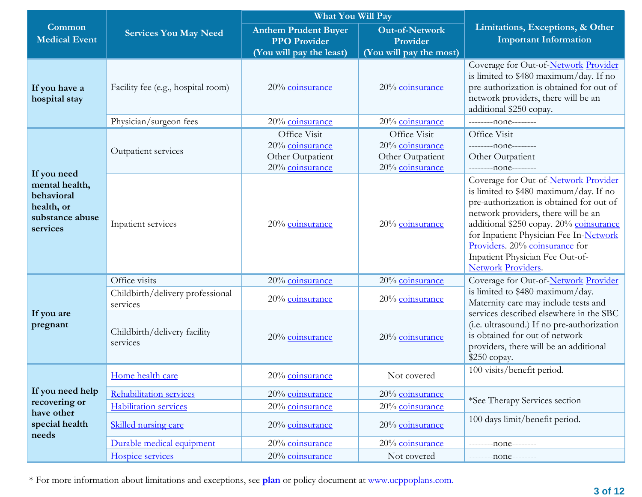|                                                                                          |                                                         | What You Will Pay                                                                                                                              |                                                                        |                                                                                                                                                                                                                                                                                                                                                          |  |
|------------------------------------------------------------------------------------------|---------------------------------------------------------|------------------------------------------------------------------------------------------------------------------------------------------------|------------------------------------------------------------------------|----------------------------------------------------------------------------------------------------------------------------------------------------------------------------------------------------------------------------------------------------------------------------------------------------------------------------------------------------------|--|
| <b>Common</b><br><b>Medical Event</b>                                                    | <b>Services You May Need</b>                            | <b>Out-of-Network</b><br><b>Anthem Prudent Buyer</b><br><b>PPO Provider</b><br>Provider<br>(You will pay the least)<br>(You will pay the most) |                                                                        | Limitations, Exceptions, & Other<br><b>Important Information</b>                                                                                                                                                                                                                                                                                         |  |
| If you have a<br>hospital stay                                                           | Facility fee (e.g., hospital room)                      | 20% coinsurance                                                                                                                                | 20% coinsurance                                                        | Coverage for Out-of-Network Provider<br>is limited to \$480 maximum/day. If no<br>pre-authorization is obtained for out of<br>network providers, there will be an<br>additional \$250 copay.                                                                                                                                                             |  |
|                                                                                          | Physician/surgeon fees                                  | 20% coinsurance                                                                                                                                | 20% coinsurance                                                        | --------- none--------                                                                                                                                                                                                                                                                                                                                   |  |
|                                                                                          | Outpatient services                                     | Office Visit<br>20% coinsurance<br>Other Outpatient<br>20% coinsurance                                                                         | Office Visit<br>20% coinsurance<br>Other Outpatient<br>20% coinsurance | Office Visit<br>---------none--------<br>Other Outpatient<br>---------none--------                                                                                                                                                                                                                                                                       |  |
| If you need<br>mental health,<br>behavioral<br>health, or<br>substance abuse<br>services | Inpatient services                                      | 20% coinsurance                                                                                                                                | 20% coinsurance                                                        | Coverage for Out-of-Network Provider<br>is limited to \$480 maximum/day. If no<br>pre-authorization is obtained for out of<br>network providers, there will be an<br>additional \$250 copay. 20% coinsurance<br>for Inpatient Physician Fee In-Network<br>Providers. 20% coinsurance for<br>Inpatient Physician Fee Out-of-<br><b>Network Providers.</b> |  |
|                                                                                          | Office visits                                           | 20% coinsurance                                                                                                                                | 20% coinsurance                                                        | Coverage for Out-of-Network Provider                                                                                                                                                                                                                                                                                                                     |  |
|                                                                                          | Childbirth/delivery professional<br>services            | 20% coinsurance                                                                                                                                | 20% coinsurance                                                        | is limited to \$480 maximum/day.<br>Maternity care may include tests and                                                                                                                                                                                                                                                                                 |  |
| If you are<br>pregnant                                                                   | Childbirth/delivery facility<br>services                | 20% coinsurance                                                                                                                                | 20% coinsurance                                                        | services described elsewhere in the SBC<br>(i.e. ultrasound.) If no pre-authorization<br>is obtained for out of network<br>providers, there will be an additional<br>$$250$ copay.                                                                                                                                                                       |  |
|                                                                                          | Home health care                                        | 20% coinsurance                                                                                                                                | Not covered                                                            | 100 visits/benefit period.                                                                                                                                                                                                                                                                                                                               |  |
| If you need help<br>recovering or                                                        | Rehabilitation services<br><b>Habilitation services</b> | 20% coinsurance<br>20% coinsurance                                                                                                             | 20% coinsurance<br>20% coinsurance                                     | *See Therapy Services section                                                                                                                                                                                                                                                                                                                            |  |
| have other<br>special health                                                             | Skilled nursing care                                    | 20% coinsurance<br>20% coinsurance                                                                                                             |                                                                        | 100 days limit/benefit period.                                                                                                                                                                                                                                                                                                                           |  |
| needs                                                                                    | Durable medical equipment                               | 20% coinsurance                                                                                                                                | 20% coinsurance                                                        | ------none--------                                                                                                                                                                                                                                                                                                                                       |  |
|                                                                                          | Hospice services                                        | 20% coinsurance                                                                                                                                | Not covered                                                            | $-----non----$                                                                                                                                                                                                                                                                                                                                           |  |

\* For more information about limitations and exceptions, see **plan** or policy document at [www.ucppoplans.com.](http://www.ucppoplans.com/)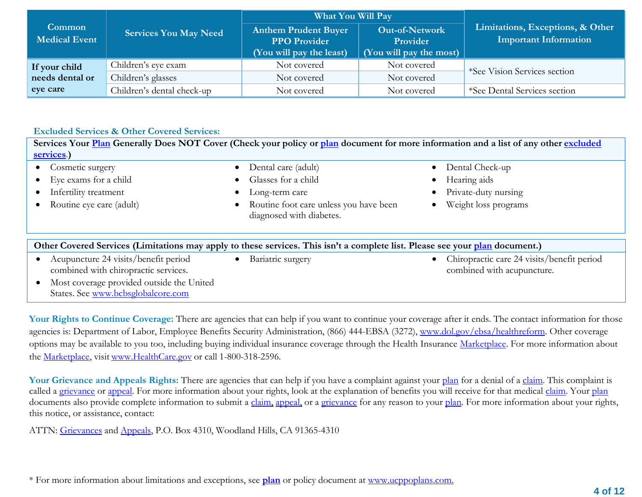|                                       |                              | What You Will Pay                                                                            |                                                              |                                                                  |  |
|---------------------------------------|------------------------------|----------------------------------------------------------------------------------------------|--------------------------------------------------------------|------------------------------------------------------------------|--|
| Common<br><b>Medical Event</b>        | <b>Services You May Need</b> | <b>Anthem Prudent Buyer</b><br><b>PPO Provider</b><br>$\sqrt{\text{You will pay the least}}$ | <b>Out-of-Network</b><br>Provider<br>(You will pay the most) | Limitations, Exceptions, & Other<br><b>Important Information</b> |  |
| If your child                         | Children's eye exam          | Not covered                                                                                  | Not covered                                                  | *See Vision Services section                                     |  |
| needs dental or<br>Children's glasses |                              | Not covered                                                                                  | Not covered                                                  |                                                                  |  |
| eye care                              | Children's dental check-up   | Not covered                                                                                  | Not covered                                                  | *See Dental Services section                                     |  |

#### **Excluded Services & Other Covered Services:**

| Services Your Plan Generally Does NOT Cover (Check your policy or plan document for more information and a list of any other excluded<br>services.)             |                                                                                                                                    |                                                                                 |
|-----------------------------------------------------------------------------------------------------------------------------------------------------------------|------------------------------------------------------------------------------------------------------------------------------------|---------------------------------------------------------------------------------|
| Cosmetic surgery<br>Eye exams for a child<br>Infertility treatment<br>Routine eye care (adult)                                                                  | Dental care (adult)<br>Glasses for a child<br>Long-term care<br>Routine foot care unless you have been<br>diagnosed with diabetes. | Dental Check-up<br>Hearing aids<br>Private-duty nursing<br>Weight loss programs |
| Other Covered Services (Limitations may apply to these services. This isn't a complete list. Please see your plan document.)                                    |                                                                                                                                    |                                                                                 |
| Acupuncture 24 visits/benefit period<br>combined with chiropractic services.<br>Most coverage provided outside the United<br>States. See www.bcbsglobalcore.com | Bariatric surgery                                                                                                                  | Chiropractic care 24 visits/benefit period<br>combined with acupuncture.        |

Your Rights to Continue Coverage: There are agencies that can help if you want to continue your coverage after it ends. The contact information for those agencies is: Department of Labor, Employee Benefits Security Administration, (866) 444-EBSA (3272), [www.dol.gov/ebsa/healthreform.](http://www.dol.gov/ebsa/healthreform) Other coverage options may be available to you too, including buying individual insurance coverage through the Health Insurance Marketplace. For more information about the Marketplace, visit [www.HealthCare.gov](https://www.healthcare.gov/) or call 1-800-318-2596.

Your Grievance and Appeals Rights: There are agencies that can help if you have a complaint against your [plan](https://www.healthcare.gov/sbc-glossary/) for a denial of a [claim.](https://www.healthcare.gov/sbc-glossary/) This complaint is called a grievance or appeal. For more information about your rights, look at the explanation of benefits you will receive for that medical claim. Your plan documents also provide complete information to submit a claim, appeal, or a grievance for any reason to your plan. For more information about your rights, this notice, or assistance, contact:

ATTN: Grievances and Appeals, P.O. Box 4310, Woodland Hills, CA 91365-4310

\* For more information about limitations and exceptions, see **plan** or policy document at [www.ucppoplans.com.](http://www.ucppoplans.com/)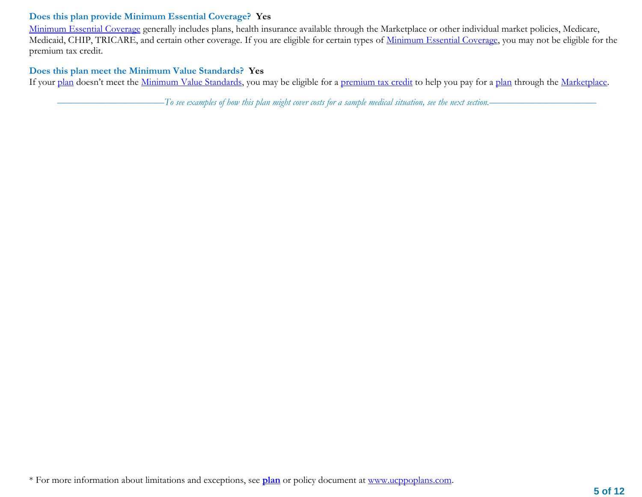## **Does this plan provide Minimum Essential Coverage? Yes**

Minimum Essential Coverage generally includes plans, health insurance available through the Marketplace or other individual market policies, Medicare, Medicaid, CHIP, TRICARE, and certain other coverage. If you are eligible for certain types of Minimum Essential Coverage, you may not be eligible for the premium tax credit.

## **Does this plan meet the Minimum Value Standards? Yes**

If your plan doesn't meet the Minimum Value Standards, you may be eligible for a premium tax credit to help you pay for a plan through the Marketplace.

––––––––––––––––––––––*To see examples of how this plan might cover costs for a sample medical situation, see the next section.–––––––––––*–––––––––––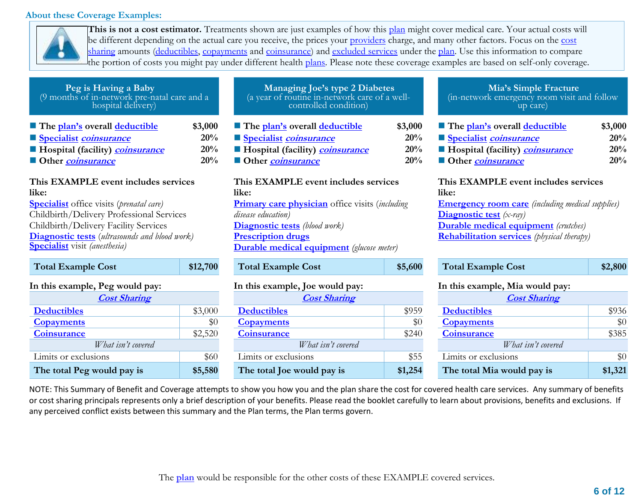### **About these Coverage Examples:**



**This is not a cost estimator.** Treatments shown are just examples of how this plan might cover medical care. Your actual costs will be different depending on the actual care you receive, the prices your providers charge, and many other factors. Focus on the cost sharing amounts (deductibles, copayments and coinsurance) and excluded services under the plan. Use this information to compare the portion of costs you might pay under different health plans. Please note these coverage examples are based on self-only coverage.

| (9 months of in-network pre-natal care and a<br>hospital delivery) |              |
|--------------------------------------------------------------------|--------------|
| The plan's overall deductible                                      | \$3,00       |
| Specialist <i>coinsurance</i>                                      | $20^{\circ}$ |
| <b>Hospital (facility) <i>coinsurance</i></b>                      | $20^{\circ}$ |
| <b>Other</b> <i>coinsurance</i>                                    | $20^{\circ}$ |

**Peg is Having a Baby**

## **This EXAMPLE event includes services like:**

**Specialist** office visits (*prenatal care)* Childbirth/Delivery Professional Services Childbirth/Delivery Facility Services **Diagnostic tests** (*ultrasounds and blood work)* **Specialist** visit *(anesthesia)*

| <b>Total Example Cost</b>       | \$12,700 |  |  |
|---------------------------------|----------|--|--|
| In this example, Peg would pay: |          |  |  |
| <b>Cost Sharing</b>             |          |  |  |
| <b>Deductibles</b>              | \$3,000  |  |  |
| <b>Copayments</b>               | $\$0$    |  |  |
| <b>Coinsurance</b>              | \$2,520  |  |  |
| What isn't covered              |          |  |  |
| Limits or exclusions            | \$60     |  |  |
| The total Peg would pay is      | \$5,580  |  |  |

| (a year of routine in-network care of a well-<br>controlled condition) |         |  |  |  |  |
|------------------------------------------------------------------------|---------|--|--|--|--|
| The plan's overall deductible                                          | \$3,000 |  |  |  |  |
| Specialist coinsurance                                                 | 20%     |  |  |  |  |
| Hospital (facility) <i>coinsurance</i>                                 | 20%     |  |  |  |  |
| Other <i>coinsurance</i>                                               | 20%     |  |  |  |  |

**Managing Joe's type 2 Diabetes**

## **This EXAMPLE event includes services like: Primary care physician** office visits (*including disease education)* **Diagnostic tests** *(blood work)* **Prescription drugs Durable medical equipment** *(glucose meter)*

### In this example, Joe would pay:

| <b>Cost Sharing</b> |         | <b>Cost Sharing</b>        |         | <b>Cost Sharing</b>        |
|---------------------|---------|----------------------------|---------|----------------------------|
|                     | \$3,000 | <b>Deductibles</b>         | \$959   | <b>Deductibles</b>         |
|                     | \$0     | <b>Copayments</b>          | \$0     | <b>Copayments</b>          |
|                     | \$2,520 | <b>Coinsurance</b>         | \$240   | <b>Coinsurance</b>         |
| What isn't covered  |         | What isn't covered         |         | What isn't covered         |
| ions                | \$60    | Limits or exclusions       | \$55    | Limits or exclusions       |
| vould pay is        | \$5,580 | The total Joe would pay is | \$1,254 | The total Mia would pay is |

#### **Mia's Simple Fracture** (in-network emergency room visit and follow up care)

| The plan's overall deductible            | \$3,000 | The <u>plan's</u> overall <b>deductible</b>  | \$3,000 | The plan's overall deductible                | \$3,000 |
|------------------------------------------|---------|----------------------------------------------|---------|----------------------------------------------|---------|
| Specialist <i>coinsurance</i>            |         | 20% Specialist <i>coinsurance</i>            |         | 20% Specialist <i>coinsurance</i>            | 20%     |
| ■ Hospital (facility) <i>coinsurance</i> |         | 20% ■ Hospital (facility) <i>coinsurance</i> |         | 20% • Hospital (facility) <i>coinsurance</i> | 20%     |
| Other <i>coinsurance</i>                 |         | 20% ■ Other <i>coinsurance</i>               |         | 20% Other coinsurance                        | 20%     |

#### **This EXAMPLE event includes services like:**

**Emergency room care** *(including medical supplies)* **Diagnostic test** *(x-ray)* **Durable medical equipment** *(crutches)* **Rehabilitation services** *(physical therapy)*

| Total Example Cost             | \$12,700 | <b>Total Example Cost</b>       | \$5,600 | <b>Total Example Cost</b>       | \$2,800 |
|--------------------------------|----------|---------------------------------|---------|---------------------------------|---------|
| n this example, Peg would pay: |          | In this example, Joe would pay: |         | In this example, Mia would pay: |         |
| <b>Cost Sharing</b>            |          | <b>Cost Sharing</b>             |         | <b>Cost Sharing</b>             |         |
| <b>Deductibles</b>             | \$3,000  | <b>Deductibles</b>              | \$959   | <b>Deductibles</b>              | \$936   |
| <b>Copayments</b>              | \$0      | <b>Copayments</b>               | \$0     | <b>Copayments</b>               | \$0     |
| <b>Coinsurance</b>             | \$2,520  | <b>Coinsurance</b>              | \$240   | <b>Coinsurance</b>              | \$385   |
| What isn't covered             |          | What isn't covered              |         | What isn't covered              |         |
| Limits or exclusions           | \$60     | Limits or exclusions            | \$55    | Limits or exclusions            | \$0     |
| The total Peg would pay is     | \$5,580  | The total Joe would pay is      | \$1,254 | The total Mia would pay is      | \$1,321 |

NOTE: This Summary of Benefit and Coverage attempts to show you how you and the plan share the cost for covered health care services. Any summary of benefits or cost sharing principals represents only a brief description of your benefits. Please read the booklet carefully to learn about provisions, benefits and exclusions. If any perceived conflict exists between this summary and the Plan terms, the Plan terms govern.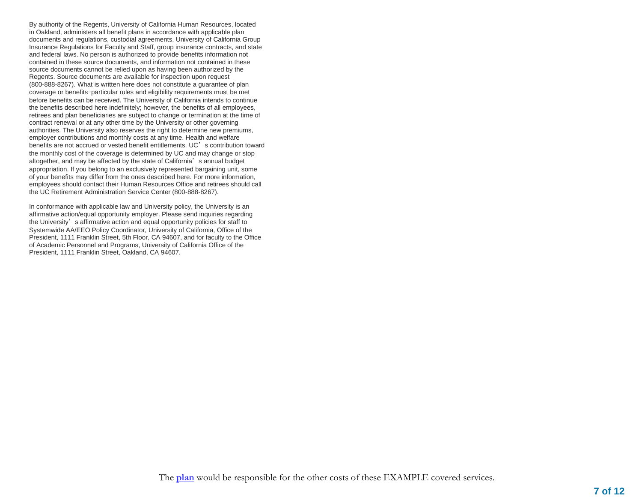By authority of the Regents, University of California Human Resources, located in Oakland, administers all benefit plans in accordance with applicable plan documents and regulations, custodial agreements, University of California Group Insurance Regulations for Faculty and Staff, group insurance contracts, and state and federal laws. No person is authorized to provide benefits information not contained in these source documents, and information not contained in these source documents cannot be relied upon as having been authorized by the Regents. Source documents are available for inspection upon request (800-888-8267). What is written here does not constitute a guarantee of plan coverage or benefits—particular rules and eligibility requirements must be met before benefits can be received. The University of California intends to continue the benefits described here indefinitely; however, the benefits of all employees, retirees and plan beneficiaries are subject to change or termination at the time of contract renewal or at any other time by the University or other governing authorities. The University also reserves the right to determine new premiums, employer contributions and monthly costs at any time. Health and welfare benefits are not accrued or vested benefit entitlements. UC's contribution toward the monthly cost of the coverage is determined by UC and may change or stop altogether, and may be affected by the state of California's annual budget appropriation. If you belong to an exclusively represented bargaining unit, some of your benefits may differ from the ones described here. For more information, employees should contact their Human Resources Office and retirees should call the UC Retirement Administration Service Center (800-888-8267).

In conformance with applicable law and University policy, the University is an affirmative action/equal opportunity employer. Please send inquiries regarding the University's affirmative action and equal opportunity policies for staff to Systemwide AA/EEO Policy Coordinator, University of California, Office of the President, 1111 Franklin Street, 5th Floor, CA 94607, and for faculty to the Office of Academic Personnel and Programs, University of California Office of the President, 1111 Franklin Street, Oakland, CA 94607.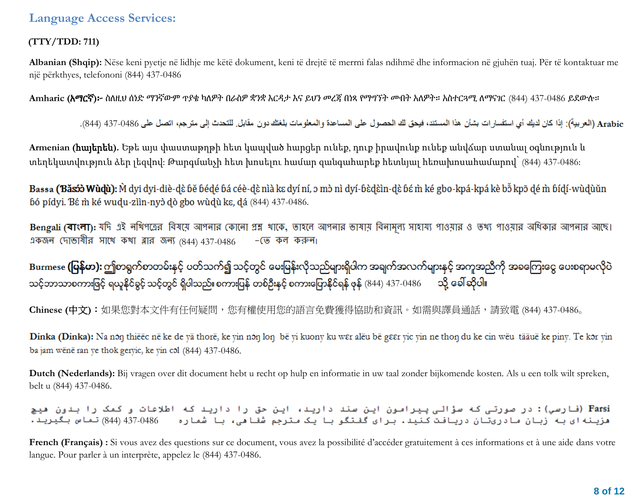## **(TTY/TDD: 711)**

**Albanian (Shqip):** Nëse keni pyetje në lidhje me këtë dokument, keni të drejtë të merrni falas ndihmë dhe informacion në gjuhën tuaj. Për të kontaktuar me një përkthyes, telefononi (844) 437-0486

**Amharic (**አማርኛ**)**፦ ስለዚህ ሰነድ ማንኛውም ጥያቄ ካለዎት በራስዎ ቋንቋ እርዳታ እና ይህን መረጃ በነጻ የማግኘት መብት አለዎት። አስተርጓሚ ለማናገር (844) 437-0486 ይደውሉ።

Arabic (العربية): إذا كان لديك أي استفسار ات بشأن هذا المستند، فيحق لك الحصول على المساعدة والمعلومات بلغتك دون مقابل. للتحدث إلى مترجم، اتصل على 0486-437 (844).

**Armenian (**հայերեն**).** Եթե այս փաստաթղթի հետ կապված հարցեր ունեք, դուք իրավունք ունեք անվճար ստանալ օգնություն և տեղեկատվություն ձեր լեզվով: Թարգմանչի հետ խոսելու համար զանգահարեք հետևյալ հեռախոսահամարով՝ (844) 437-0486:

Bassa (Băsố) Wùdù): M dyi dyi-diè-dè bě bédé bá céè-dè nìà kɛ dyí ní, ɔ mɔ̀ nì dyí-bèdèin-dè bé m̀ ké gbo-kpá-kpá kè bɔ̃ kpɔ̃ dé m̀ bídí-wùdùǔn bó pídyi. Bé m ké wudu-ziin-nyò dò gbo wùdù ke, dá (844) 437-0486.

Bengali (বাংলা): যদি এই নথিপত্রের বিষয়ে আপনার কোনো প্রশ্ন খাকে, তাহলে আপনার তাষায় বিনামূল্য সাওয়ার ও তথ্য পাওয়ার অধিকার আপনার আছে। একজন দোভাষীর সাথে কথা ব্লার জন্য  $(844)$  437-0486  $-$  (ত কল করুন।

Burmese **(မြန်မာ):** ဤစာရွက်စာတမ်းနှင့် ပတ်သက်၍ သင့်တွင် မေးမြန်းလိုသည်များရှိပါက အချက်အလက်များနှင့် အကူအညီကို အခကြေးငွေ ပေးစရာမလိုပဲ သင့်ဘာသာစကားဖြင့် ရယူနိုင်ခွင့် သင့်တွင် ရှိပါသည်။ စကားပြန် တစ်ဦးနှင့် စကားပြောနိုင်ရန် ဖုန် (844) 437-0486 တို့ ခေါ်ဆိုပါ။

**Chinese (**中文**)**:如果您對本文件有任何疑問,您有權使用您的語言免費獲得協助和資訊。如需與譯員通話,請致電 (844) 437-0486。

Dinka (Dinka): Na non thiëëc në ke de yä thorë, ke yin non lon bë yi kuony ku wer alëu bë geer yic yin ne thon du ke cin wëu tääuë ke piny. Te kor yin ba jam wënë ran ye thok geryic, ke yin col (844) 437-0486.

**Dutch (Nederlands):** Bij vragen over dit document hebt u recht op hulp en informatie in uw taal zonder bijkomende kosten. Als u een tolk wilt spreken, belt u (844) 437-0486.

.<br>Farsi (فارسي): در صورتی که سؤالی پیرامون این سند دارید، این حق را دارید که اطلاعات و کمک را بدون هیچ هزینه ای به زبان مادریتان دریافت کنید. برای گفتگو با یک مترجم شفاهی، با شماره = 486-437 (844) تماس بگیرید.

French (Français) : Si vous avez des questions sur ce document, vous avez la possibilité d'accéder gratuitement à ces informations et à une aide dans votre langue. Pour parler à un interprète, appelez le (844) 437-0486.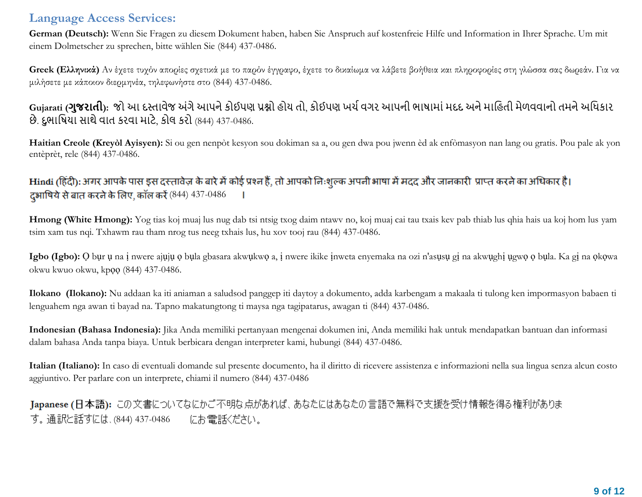**German (Deutsch):** Wenn Sie Fragen zu diesem Dokument haben, haben Sie Anspruch auf kostenfreie Hilfe und Information in Ihrer Sprache. Um mit einem Dolmetscher zu sprechen, bitte wählen Sie (844) 437-0486.

**Greek (Ελληνικά)** Αν έχετε τυχόν απορίες σχετικά με το παρόν έγγραφο, έχετε το δικαίωμα να λάβετε βοήθεια και πληροφορίες στη γλώσσα σας δωρεάν. Για να μιλήσετε με κάποιον διερμηνέα, τηλεφωνήστε στο (844) 437-0486.

# **Gujarati (ગુજરાતી):** જો આ દસ્તાવેજ અંગેઆપનેકોઈપણ પ્રશ્નો હોય તો, કોઈપણ ખર્ચવગર આપની ભાષામાંમદદ અનેમાહહતી મેળવવાનો તમનેઅહિકાર છે. દુભાહષયા સાથેવાત કરવા માટે, કોલ કરો (844) 437-0486.

**Haitian Creole (Kreyòl Ayisyen):** Si ou gen nenpòt kesyon sou dokiman sa a, ou gen dwa pou jwenn èd ak enfòmasyon nan lang ou gratis. Pou pale ak yon entèprèt, rele (844) 437-0486.

# Hindi (हिंदी): अगर आपके पास इस दस्तावेज़ के बारे में कोई प्रश्न हैं, तो आपको निःशुल्क अपनी भाषा में मदद और जानकारी प्राप्त करने का अधिकार है। दभाषिये से बात करने के लिए, कॉल करें (844) 437-0486 |

**Hmong (White Hmong):** Yog tias koj muaj lus nug dab tsi ntsig txog daim ntawv no, koj muaj cai tau txais kev pab thiab lus qhia hais ua koj hom lus yam tsim xam tus nqi. Txhawm rau tham nrog tus neeg txhais lus, hu xov tooj rau (844) 437-0486.

**Igbo (Igbo):** Ọ bụr ụ na ị nwere ajụjụ ọ bụla gbasara akwụkwọ a, ị nwere ikike ịnweta enyemaka na ozi n'asụsụ gị na akwụghị ụgwọ ọ bụla. Ka gị na ọkọwa okwu kwuo okwu, kpọọ (844) 437-0486.

**Ilokano (Ilokano):** Nu addaan ka iti aniaman a saludsod panggep iti daytoy a dokumento, adda karbengam a makaala ti tulong ken impormasyon babaen ti lenguahem nga awan ti bayad na. Tapno makatungtong ti maysa nga tagipatarus, awagan ti (844) 437-0486.

**Indonesian (Bahasa Indonesia):** Jika Anda memiliki pertanyaan mengenai dokumen ini, Anda memiliki hak untuk mendapatkan bantuan dan informasi dalam bahasa Anda tanpa biaya. Untuk berbicara dengan interpreter kami, hubungi (844) 437-0486.

**Italian (Italiano):** In caso di eventuali domande sul presente documento, ha il diritto di ricevere assistenza e informazioni nella sua lingua senza alcun costo aggiuntivo. Per parlare con un interprete, chiami il numero (844) 437-0486

Japanese (日本語): この文書についてなにかご不明な点があれば、あなたにはあなたの言語で無料で支援を受け情報を得る権利がありま す。通訳と話すには、(844) 437-0486 にお電話ください。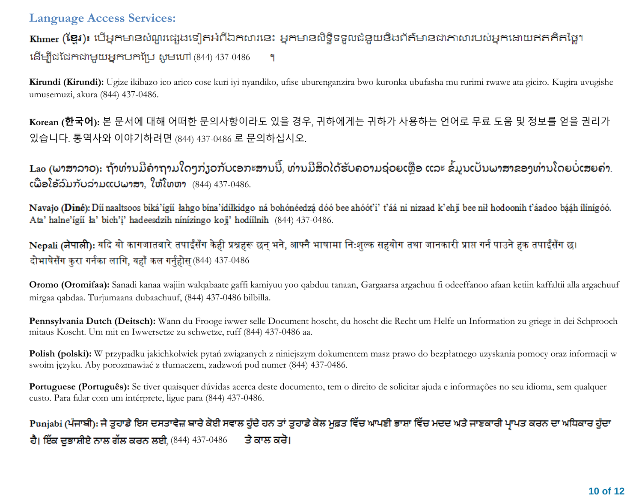Khmer (ខ្មែរ)៖ បើអ្នកមានសំណួរផ្សេងទៀតអំពីឯកសារនេះ អ្នកមានសិទ្ធិទទួលជំនួយនិងព័ត៌មានជាភាសារបស់អ្នកដោយឥតគិតថ្លៃ។ (844) 437-0486 ٩

**Kirundi (Kirundi):** Ugize ikibazo ico arico cose kuri iyi nyandiko, ufise uburenganzira bwo kuronka ubufasha mu rurimi rwawe ata giciro. Kugira uvugishe umusemuzi, akura (844) 437-0486.

**Korean (한국어):** 본 문서에 대해 어떠한 문의사항이라도 있을 경우, 귀하에게는 귀하가 사용하는 언어로 무료 도움 및 정보를 얻을 권리가 있습니다. 통역사와 이야기하려면 (844) 437-0486 로 문의하십시오.

Lao (ພາສາລາວ): ຖ້າທ່ານມີຄຳຖາມໃດໆກ່ຽວກັບເອກະສານນີ້, ທ່ານມີສິດໄດ້ຮັບຄວາມຊ່ວຍເຫຼືອ ແລະ ຂໍ້ມູນເປັນພາສາຂອງທ່ານໂດຍບໍ່ເສຍຄ່າ.  $\mathfrak{c}$ ພື່ອໂອ້ລົມກັບລ່າມແປພາສາ, ໃຫ້ໂທຫາ  $(844)$  437-0486.

Navajo (Diné): Díi naaltsoos biká'ígií lahgo bína'ídílkidgo ná bohónéedzá dóó bee ahóót'i' t'áá ni nizaad k'ehj bee nil hodoonih t'áadoo bááh ilínígóó. Ata' halne'igii ła' bich'i' hadeesdzih ninizingo koji' hodiilnih (844) 437-0486.

Nepali (नेपाली): यदि यो कागजातबारे तपाईँसँग केही प्रश्नहरू छन भने, आफ्नै भाषामा निःशुल्क सहयोग तथा जानकारी प्राप्त गर्न पाउने हक तपाईँसँग छ। दोभाषेसँग कुरा गर्नका लागि, यहाँ कल गर्नुहोस (844) 437-0486

**Oromo (Oromifaa):** Sanadi kanaa wajiin walqabaate gaffi kamiyuu yoo qabduu tanaan, Gargaarsa argachuu fi odeeffanoo afaan ketiin kaffaltii alla argachuuf mirgaa qabdaa. Turjumaana dubaachuuf, (844) 437-0486 bilbilla.

**Pennsylvania Dutch (Deitsch):** Wann du Frooge iwwer selle Document hoscht, du hoscht die Recht um Helfe un Information zu griege in dei Schprooch mitaus Koscht. Um mit en Iwwersetze zu schwetze, ruff (844) 437-0486 aa.

**Polish (polski):** W przypadku jakichkolwiek pytań związanych z niniejszym dokumentem masz prawo do bezpłatnego uzyskania pomocy oraz informacji w swoim języku. Aby porozmawiać z tłumaczem, zadzwoń pod numer (844) 437-0486.

**Portuguese (Português):** Se tiver quaisquer dúvidas acerca deste documento, tem o direito de solicitar ajuda e informações no seu idioma, sem qualquer custo. Para falar com um intérprete, ligue para (844) 437-0486.

Punjabi (ਪੰਜਾਬੀ): ਜੇ ਤੁਹਾਡੇ ਇਸ ਦਸਤਾਵੇਜ਼ ਬਾਰੇ ਕੋਈ ਸਵਾਲ ਹੁੰਦੇ ਹਨ ਤਾਂ ਤੁਹਾਡੇ ਕੋਲ ਮੁਫ਼ਤ ਵਿੱਚ ਆਪਣੀ ਭਾਸ਼ਾ ਵਿੱਚ ਮਦਦ ਅਤੇ ਜਾਣਕਾਰੀ ਪਾਪਤ ਕਰਨ ਦਾ ਅਧਿਕਾਰ ਹੁੰਦਾ ਹੈ। ਇੱਕ ਦੁਭਾਸ਼ੀਏ ਨਾਲ ਗੱਲ ਕਰਨ ਲਈ, (844) 437-0486 ਤੇ ਕਾਲ ਕਰੋ।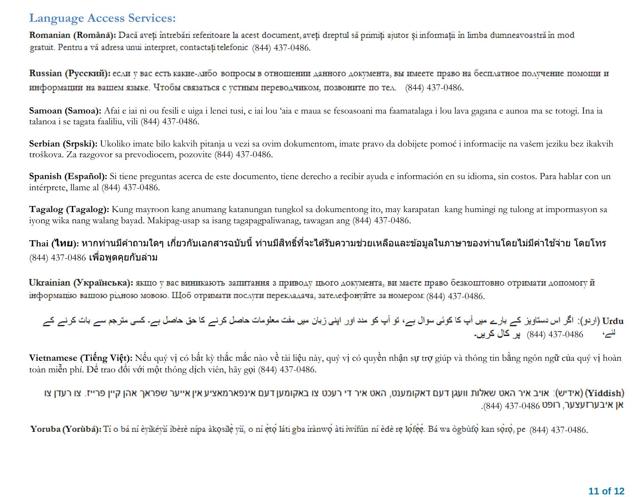Romanian (Română): Dacă aveți întrebări referitoare la acest document, aveți dreptul să primiți ajutor și informații în limba dumneavoastră în mod gratuit. Pentru a vă adresa unui interpret, contactați telefonic (844) 437-0486.

Russian (Русский): если у вас есть какие-либо вопросы в отношении данного документа, вы имеете право на бесплатное получение помощи и информации на вашем языке. Чтобы связаться с устным переводчиком, позвоните по тел. (844) 437-0486.

**Samoan (Samoa):** Afai e iai ni ou fesili e uiga i lenei tusi, e iai lou 'aia e maua se fesoasoani ma faamatalaga i lou lava gagana e aunoa ma se totogi. Ina ia talanoa i se tagata faaliliu, vili (844) 437-0486.

**Serbian (Srpski):** Ukoliko imate bilo kakvih pitanja u vezi sa ovim dokumentom, imate pravo da dobijete pomoć i informacije na vašem jeziku bez ikakvih troškova. Za razgovor sa prevodiocem, pozovite (844) 437-0486.

**Spanish (Español):** Si tiene preguntas acerca de este documento, tiene derecho a recibir ayuda e información en su idioma, sin costos. Para hablar con un intérprete, llame al (844) 437-0486.

**Tagalog (Tagalog):** Kung mayroon kang anumang katanungan tungkol sa dokumentong ito, may karapatan kang humingi ng tulong at impormasyon sa iyong wika nang walang bayad. Makipag-usap sa isang tagapagpaliwanag, tawagan ang (844) 437-0486.

# ี่ Thai (**ไทย**): หากท่านมีคำถามใดๆ เกี่ยวกับเอกสารฉบับนี้ ท่านมีสิทธิ์ที่จะได*้*รับความช่วยเหลือและข้อมูลในภาษาของท่านโดยไม่มีค่าใช้จ่าย โดยโทร  $(844)$   $437-0486$  เพื่อพูดคุยกับล่าม

Ukrainian (Українська): якщо у вас виникають запитання з приводу цього документа, ви маєте право безкоштовно отримати допомогу й інформацію вашою рідною мовою. Щоб отримати послуги перекладача, зателефонуйте за номером: (844) 437-0486.

Urdu (اردو): اگر اس دستاویز کے بارے میں آپ کا کوئی سوال ہے، تو آپ کو مدد اور اپنی زبان میں مفت معلومات حاصل کرنے کا حق حاصل ہے۔ کسی مترجم سے بات کرنے کے ائے، 437-0486 (844) پر کال کریں۔

**Vietnamese (Tiếng Việt):** Nếu quý vị có bất kỳ thắc mắc nào về tài liệu này, quý vị có quyền nhận sự trợ giúp và thông tin bằng ngôn ngữ của quý vị hoàn toàn miễn phí. Để trao đổi với một thông dịch viên, hãy gọi (844) 437-0486.

אידיש): אויב איר האט שאלות וועגן דעם דאקומענט, האט איר די רעכט צו באקומען דעם אינפארמאציע אין אייער שפראך אהן קיין פרייז. צו רעדן צו (Yiddish) .(844) **אן איבערזעצער, רופט** 437-0486

Yoruba (Yorubá): Tí o bá ní èvíkévň ibèrè nípa àkosíle vň, o ní eto láti gba irànwo àti iwífún ní ede re lofee. Bá wa ogburo kan soro, pe (844) 437-0486.